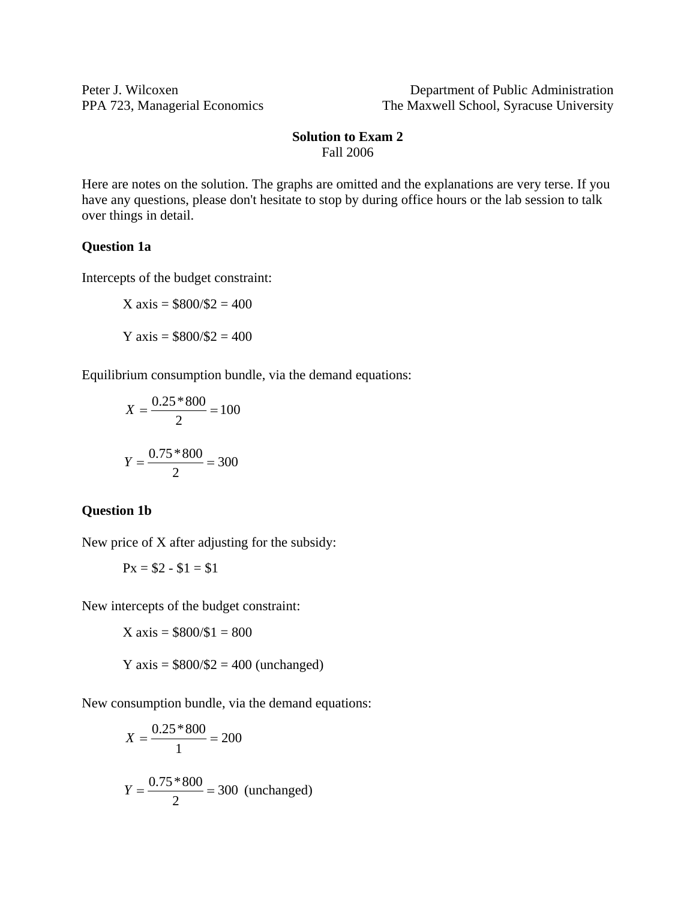Peter J. Wilcoxen Department of Public Administration PPA 723, Managerial Economics The Maxwell School, Syracuse University

## **Solution to Exam 2**  Fall 2006

Here are notes on the solution. The graphs are omitted and the explanations are very terse. If you have any questions, please don't hesitate to stop by during office hours or the lab session to talk over things in detail.

## **Question 1a**

Intercepts of the budget constraint:

$$
X axis = $800 \div $2 = 400
$$
  

$$
Y axis = $800 \div $2 = 400
$$

Equilibrium consumption bundle, via the demand equations:

$$
X = \frac{0.25 * 800}{2} = 100
$$

$$
Y = \frac{0.75 * 800}{2} = 300
$$

#### **Question 1b**

New price of X after adjusting for the subsidy:

$$
Px = $2 - $1 = $1
$$

New intercepts of the budget constraint:

$$
X \text{ axis} = $800 \text{/} $1 = 800
$$

$$
Y axis = $800 \, \text{/} \$2 = 400 \, \text{(unchanged)}
$$

New consumption bundle, via the demand equations:

$$
X = \frac{0.25 * 800}{1} = 200
$$
  

$$
Y = \frac{0.75 * 800}{2} = 300
$$
 (unchanged)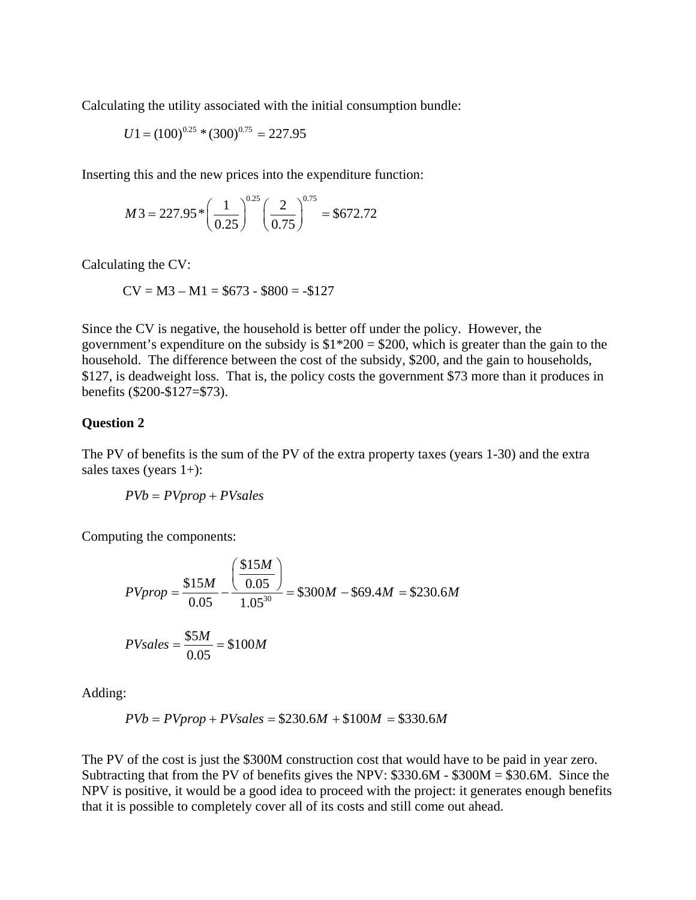Calculating the utility associated with the initial consumption bundle:

$$
U1 = (100)^{0.25} * (300)^{0.75} = 227.95
$$

Inserting this and the new prices into the expenditure function:

$$
M3 = 227.95 * \left(\frac{1}{0.25}\right)^{0.25} \left(\frac{2}{0.75}\right)^{0.75} = $672.72
$$

Calculating the CV:

$$
CV = M3 - M1 = $673 - $800 = -$127
$$

Since the CV is negative, the household is better off under the policy. However, the government's expenditure on the subsidy is  $$1*200 = $200$ , which is greater than the gain to the household. The difference between the cost of the subsidy, \$200, and the gain to households, \$127, is deadweight loss. That is, the policy costs the government \$73 more than it produces in benefits (\$200-\$127=\$73).

#### **Question 2**

The PV of benefits is the sum of the PV of the extra property taxes (years 1-30) and the extra sales taxes (years 1+):

$$
PVb = PVprop + PVsales
$$

Computing the components:

$$
PVprop = \frac{$15M}{0.05} - \frac{\left(\frac{$15M}{0.05}\right)}{1.05^{30}} = $300M - $69.4M = $230.6M
$$
  

$$
PV sales = \frac{$5M}{0.05} = $100M
$$

Adding:

$$
P V b = P V prop + P V sales = $230.6M + $100M = $330.6M
$$

The PV of the cost is just the \$300M construction cost that would have to be paid in year zero. Subtracting that from the PV of benefits gives the NPV: \$330.6M - \$300M = \$30.6M. Since the NPV is positive, it would be a good idea to proceed with the project: it generates enough benefits that it is possible to completely cover all of its costs and still come out ahead.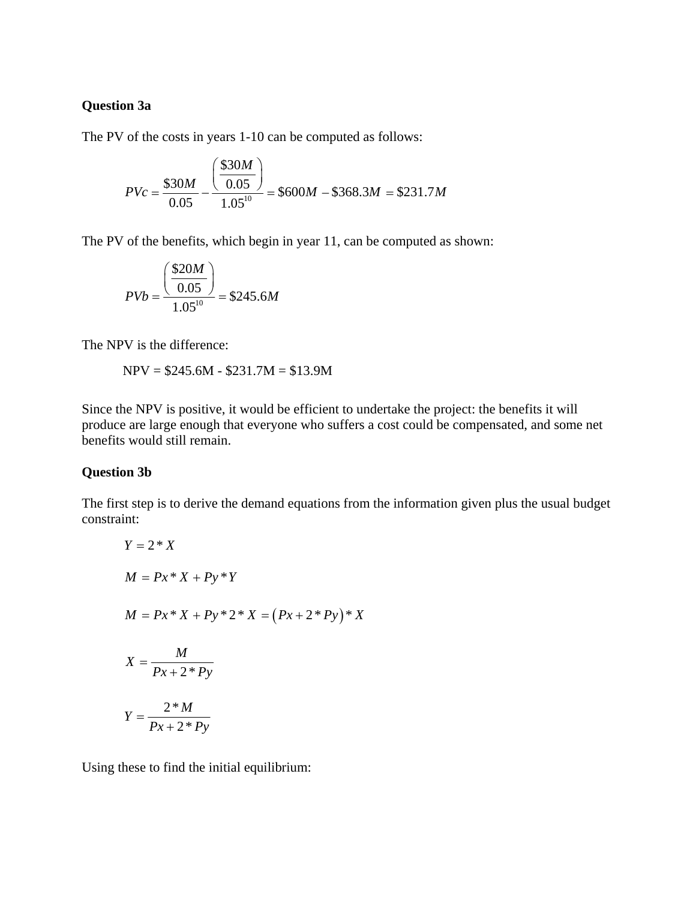# **Question 3a**

The PV of the costs in years 1-10 can be computed as follows:

$$
PVc = \frac{\$30M}{0.05} - \frac{\left(\frac{\$30M}{0.05}\right)}{1.05^{10}} = \$600M - \$368.3M = \$231.7M
$$

The PV of the benefits, which begin in year 11, can be computed as shown:

$$
PVb = \frac{\left(\frac{\$20M}{0.05}\right)}{1.05^{10}} = \$245.6M
$$

The NPV is the difference:

$$
NPV = $245.6M - $231.7M = $13.9M
$$

Since the NPV is positive, it would be efficient to undertake the project: the benefits it will produce are large enough that everyone who suffers a cost could be compensated, and some net benefits would still remain.

### **Question 3b**

The first step is to derive the demand equations from the information given plus the usual budget constraint:

$$
Y = 2 * X
$$
  
\n
$$
M = Px * X + Py * Y
$$
  
\n
$$
M = Px * X + Py * 2 * X = (Px + 2 * Py) * X
$$
  
\n
$$
X = \frac{M}{Px + 2 * Py}
$$
  
\n
$$
Y = \frac{2 * M}{Px + 2 * Py}
$$

Using these to find the initial equilibrium: